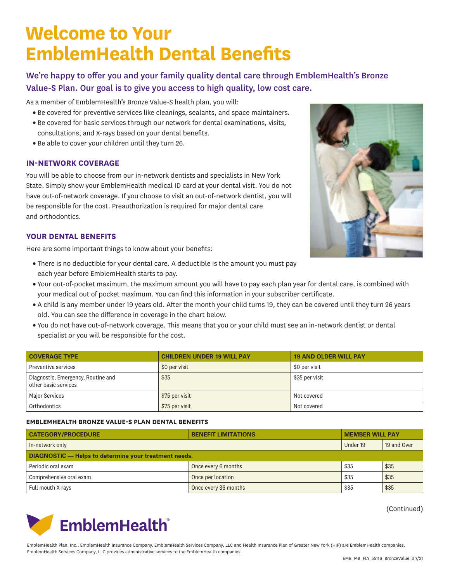# **Welcome to Your EmblemHealth Dental Benefits**

We're happy to offer you and your family quality dental care through EmblemHealth's Bronze Value-S Plan. Our goal is to give you access to high quality, low cost care.

As a member of EmblemHealth's Bronze Value-S health plan, you will:

- Be covered for preventive services like cleanings, sealants, and space maintainers.
- Be covered for basic services through our network for dental examinations, visits, consultations, and X-rays based on your dental benefits.
- Be able to cover your children until they turn 26.

### **IN-NETWORK COVERAGE**

You will be able to choose from our in-network dentists and specialists in New York State. Simply show your EmblemHealth medical ID card at your dental visit. You do not have out-of-network coverage. If you choose to visit an out-of-network dentist, you will be responsible for the cost. Preauthorization is required for major dental care and orthodontics.

### **YOUR DENTAL BENEFITS**

Here are some important things to know about your benefits:

- There is no deductible for your dental care. A deductible is the amount you must pay each year before EmblemHealth starts to pay.
- Your out-of-pocket maximum, the maximum amount you will have to pay each plan year for dental care, is combined with your medical out of pocket maximum. You can find this information in your subscriber certificate.
- A child is any member under 19 years old. After the month your child turns 19, they can be covered until they turn 26 years old. You can see the difference in coverage in the chart below.
- You do not have out-of-network coverage. This means that you or your child must see an in-network dentist or dental specialist or you will be responsible for the cost.

| <b>COVERAGE TYPE</b>                                       | <b>CHILDREN UNDER 19 WILL PAY</b> | <b>19 AND OLDER WILL PAY</b> |
|------------------------------------------------------------|-----------------------------------|------------------------------|
| Preventive services                                        | \$0 per visit                     | \$0 per visit                |
| Diagnostic, Emergency, Routine and<br>other basic services | \$35                              | \$35 per visit               |
| <b>Major Services</b>                                      | \$75 per visit                    | Not covered                  |
| Orthodontics                                               | \$75 per visit                    | Not covered                  |

#### **EMBLEMHEALTH BRONZE VALUE-S PLAN DENTAL BENEFITS**

| <b>CATEGORY/PROCEDURE</b>                                    | <b>BENEFIT LIMITATIONS</b> | <b>MEMBER WILL PAY</b> |             |  |  |
|--------------------------------------------------------------|----------------------------|------------------------|-------------|--|--|
| In-network only                                              |                            | Under 19               | 19 and Over |  |  |
| <b>DIAGNOSTIC</b> - Helps to determine your treatment needs. |                            |                        |             |  |  |
| Periodic oral exam                                           | Once every 6 months        | \$35                   | \$35        |  |  |
| Comprehensive oral exam                                      | Once per location          | \$35                   | \$35        |  |  |
| Full mouth X-rays                                            | Once every 36 months       | \$35                   | \$35        |  |  |

(Continued)



EmblemHealth Plan, Inc., EmblemHealth Insurance Company, EmblemHealth Services Company, LLC and Health Insurance Plan of Greater New York (HIP) are EmblemHealth companies. EmblemHealth Services Company, LLC provides administrative services to the EmblemHealth companies.